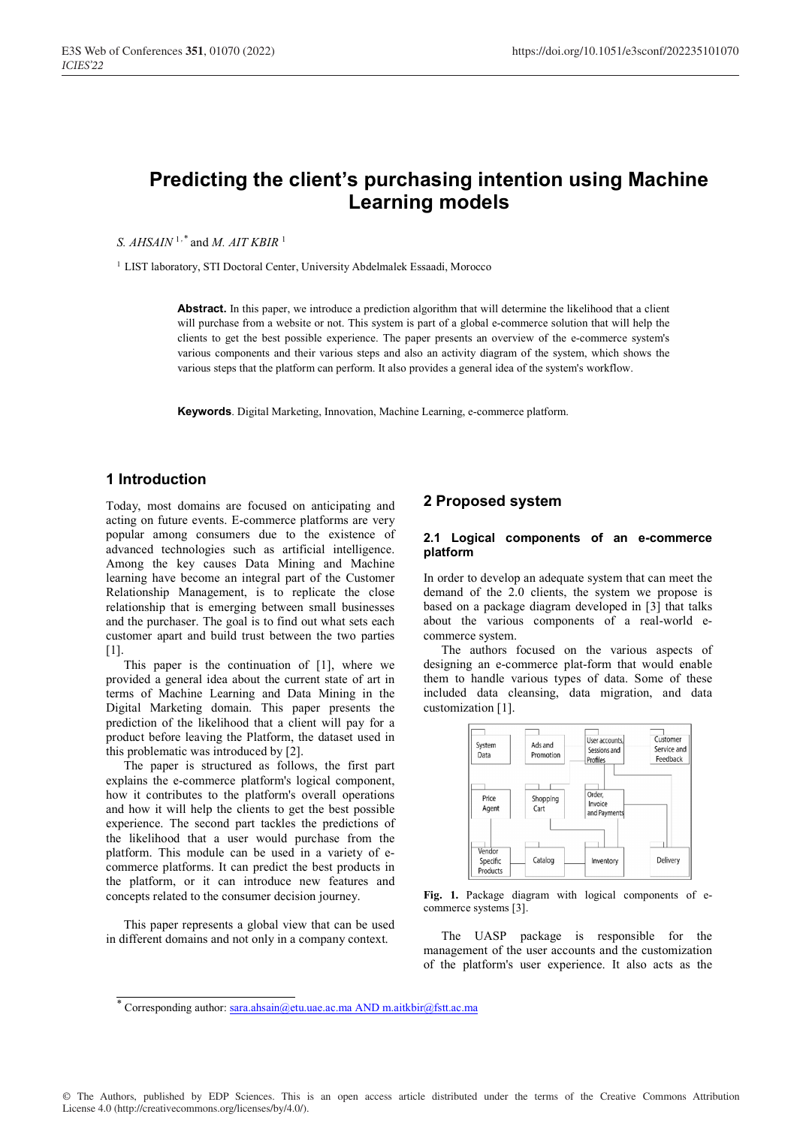# **Predicting the client's purchasing intention using Machine Learning models**

*S. AHSAIN* <sup>1,\*</sup> and *M. AIT KBIR*<sup>1</sup>

<sup>1</sup> LIST laboratory, STI Doctoral Center, University Abdelmalek Essaadi, Morocco

**Abstract.** In this paper, we introduce a prediction algorithm that will determine the likelihood that a client will purchase from a website or not. This system is part of a global e-commerce solution that will help the clients to get the best possible experience. The paper presents an overview of the e-commerce system's various components and their various steps and also an activity diagram of the system, which shows the various steps that the platform can perform. It also provides a general idea of the system's workflow.

**Keywords**. Digital Marketing, Innovation, Machine Learning, e-commerce platform.

# **1 Introduction**

Today, most domains are focused on anticipating and acting on future events. E-commerce platforms are very popular among consumers due to the existence of advanced technologies such as artificial intelligence. Among the key causes Data Mining and Machine learning have become an integral part of the Customer Relationship Management, is to replicate the close relationship that is emerging between small businesses and the purchaser. The goal is to find out what sets each customer apart and build trust between the two parties [1].

This paper is the continuation of [1], where we provided a general idea about the current state of art in terms of Machine Learning and Data Mining in the Digital Marketing domain. This paper presents the prediction of the likelihood that a client will pay for a product before leaving the Platform, the dataset used in this problematic was introduced by [2].

The paper is structured as follows, the first part explains the e-commerce platform's logical component, how it contributes to the platform's overall operations and how it will help the clients to get the best possible experience. The second part tackles the predictions of the likelihood that a user would purchase from the platform. This module can be used in a variety of ecommerce platforms. It can predict the best products in the platform, or it can introduce new features and concepts related to the consumer decision journey.

This paper represents a global view that can be used in different domains and not only in a company context.

## **2 Proposed system**

#### **2.1 Logical components of an e-commerce platform**

In order to develop an adequate system that can meet the demand of the 2.0 clients, the system we propose is based on a package diagram developed in [3] that talks about the various components of a real-world ecommerce system.

The authors focused on the various aspects of designing an e-commerce plat-form that would enable them to handle various types of data. Some of these included data cleansing, data migration, and data customization [1].



**Fig. 1.** Package diagram with logical components of ecommerce systems [3].

The UASP package is responsible for the management of the user accounts and the customization of the platform's user experience. It also acts as the

© The Authors, published by EDP Sciences. This is an open access article distributed under the terms of the Creative Commons Attribution License 4.0 (http://creativecommons.org/licenses/by/4.0/).

<sup>\*</sup> Corresponding author: sara.ahsain@etu.uae.ac.ma AND m.aitkbir@fstt.ac.ma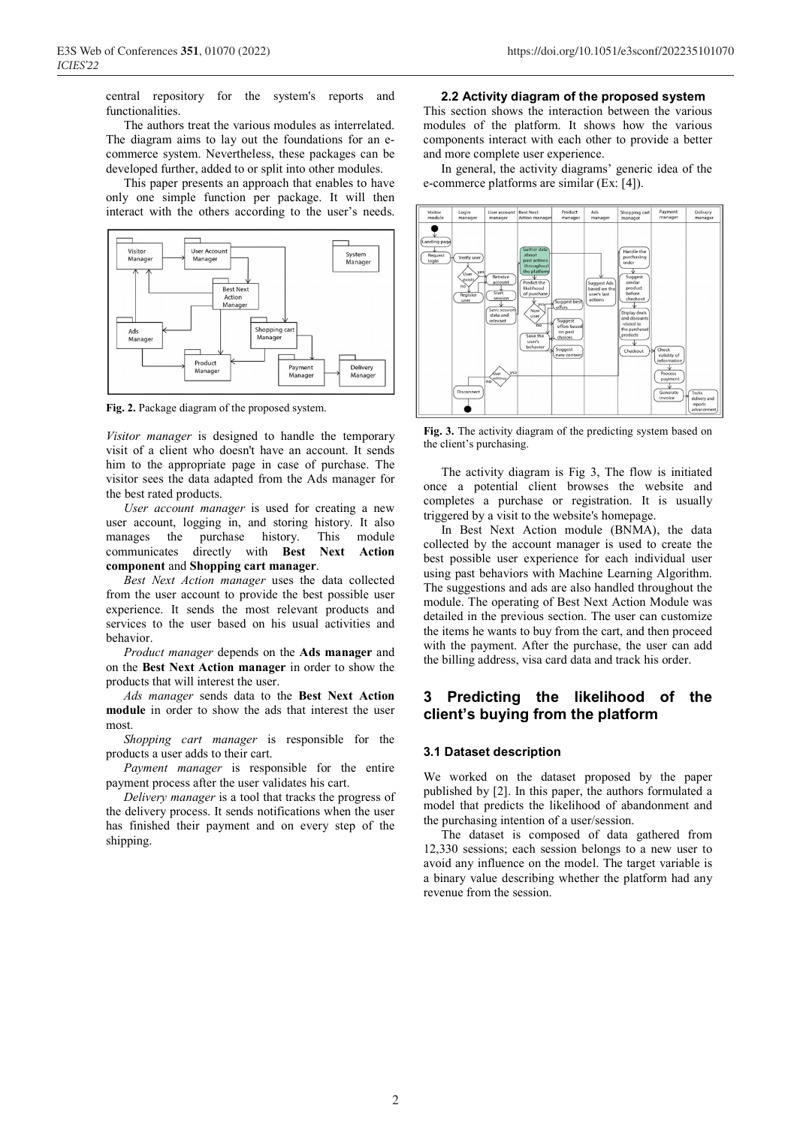central repository for the system's reports and functionalities.

The authors treat the various modules as interrelated. The diagram aims to lay out the foundations for an ecommerce system. Nevertheless, these packages can be developed further, added to or split into other modules.

This paper presents an approach that enables to have only one simple function per package. It will then interact with the others according to the user's needs.



**Fig. 2.** Package diagram of the proposed system.

*Visitor manager* is designed to handle the temporary visit of a client who doesn't have an account. It sends him to the appropriate page in case of purchase. The visitor sees the data adapted from the Ads manager for the best rated products.

*User account manager* is used for creating a new user account, logging in, and storing history. It also manages the purchase history. This module communicates directly with **Best Next Action component** and **Shopping cart manager**.

*Best Next Action manager* uses the data collected from the user account to provide the best possible user experience. It sends the most relevant products and services to the user based on his usual activities and behavior.

*Product manager* depends on the **Ads manager** and on the **Best Next Action manager** in order to show the products that will interest the user.

*Ads manager* sends data to the **Best Next Action module** in order to show the ads that interest the user most.

*Shopping cart manager* is responsible for the products a user adds to their cart.

*Payment manager* is responsible for the entire payment process after the user validates his cart.

*Delivery manager* is a tool that tracks the progress of the delivery process. It sends notifications when the user has finished their payment and on every step of the shipping.

## **2.2 Activity diagram of the proposed system**

This section shows the interaction between the various modules of the platform. It shows how the various components interact with each other to provide a better and more complete user experience.

In general, the activity diagrams' generic idea of the e-commerce platforms are similar (Ex: [4]).



**Fig. 3.** The activity diagram of the predicting system based on the client's purchasing.

The activity diagram is Fig 3, The flow is initiated once a potential client browses the website and completes a purchase or registration. It is usually triggered by a visit to the website's homepage.

In Best Next Action module (BNMA), the data collected by the account manager is used to create the best possible user experience for each individual user using past behaviors with Machine Learning Algorithm. The suggestions and ads are also handled throughout the module. The operating of Best Next Action Module was detailed in the previous section. The user can customize the items he wants to buy from the cart, and then proceed with the payment. After the purchase, the user can add the billing address, visa card data and track his order.

# **3 Predicting the likelihood of the client's buying from the platform**

#### **3.1 Dataset description**

We worked on the dataset proposed by the paper published by [2]. In this paper, the authors formulated a model that predicts the likelihood of abandonment and the purchasing intention of a user/session.

The dataset is composed of data gathered from 12,330 sessions; each session belongs to a new user to avoid any influence on the model. The target variable is a binary value describing whether the platform had any revenue from the session.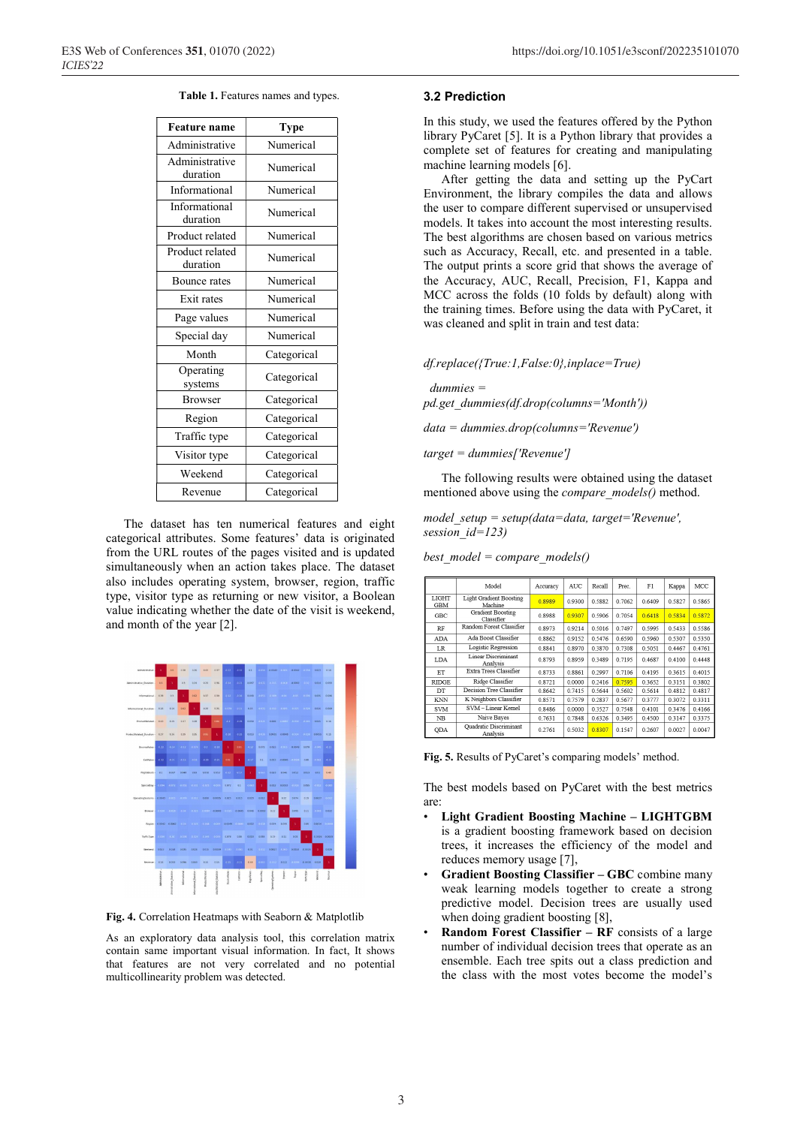|  |  | Table 1. Features names and types. |  |  |  |
|--|--|------------------------------------|--|--|--|
|--|--|------------------------------------|--|--|--|

| <b>Feature name</b>         | Type        |  |  |  |
|-----------------------------|-------------|--|--|--|
| Administrative              | Numerical   |  |  |  |
| Administrative<br>duration  | Numerical   |  |  |  |
| Informational               | Numerical   |  |  |  |
| Informational<br>duration   | Numerical   |  |  |  |
| Product related             | Numerical   |  |  |  |
| Product related<br>duration | Numerical   |  |  |  |
| Bounce rates                | Numerical   |  |  |  |
| Exit rates                  | Numerical   |  |  |  |
| Page values                 | Numerical   |  |  |  |
| Special day                 | Numerical   |  |  |  |
| Month                       | Categorical |  |  |  |
| Operating<br>systems        | Categorical |  |  |  |
| <b>Browser</b>              | Categorical |  |  |  |
| Region                      | Categorical |  |  |  |
| Traffic type                | Categorical |  |  |  |
| Visitor type                | Categorical |  |  |  |
| Weekend                     | Categorical |  |  |  |
| Revenue                     | Categorical |  |  |  |

The dataset has ten numerical features and eight categorical attributes. Some features' data is originated from the URL routes of the pages visited and is updated simultaneously when an action takes place. The dataset also includes operating system, browser, region, traffic type, visitor type as returning or new visitor, a Boolean value indicating whether the date of the visit is weekend, and month of the year [2].



**Fig. 4.** Correlation Heatmaps with Seaborn & Matplotlib

As an exploratory data analysis tool, this correlation matrix contain same important visual information. In fact, It shows that features are not very correlated and no potential multicollinearity problem was detected.

#### **3.2 Prediction**

In this study, we used the features offered by the Python library PyCaret [5]. It is a Python library that provides a complete set of features for creating and manipulating machine learning models [6].

After getting the data and setting up the PyCart Environment, the library compiles the data and allows the user to compare different supervised or unsupervised models. It takes into account the most interesting results. The best algorithms are chosen based on various metrics such as Accuracy, Recall, etc. and presented in a table. The output prints a score grid that shows the average of the Accuracy, AUC, Recall, Precision, F1, Kappa and MCC across the folds (10 folds by default) along with the training times. Before using the data with PyCaret, it was cleaned and split in train and test data:

*df.replace({True:1,False:0},inplace=True)*

 *dummies = pd.get\_dummies(df.drop(columns='Month'))*

*data = dummies.drop(columns='Revenue')*

*target = dummies['Revenue']*

The following results were obtained using the dataset mentioned above using the *compare\_models()* method.

*model\_setup = setup(data=data, target='Revenue', session\_id=123)*

| best model = compare models() |  |
|-------------------------------|--|
|                               |  |

|                     | Model                                     | Accuracy | <b>AUC</b> | Recall | Prec.  | F1     | Kappa     | MCC    |
|---------------------|-------------------------------------------|----------|------------|--------|--------|--------|-----------|--------|
| LIGHT<br><b>GBM</b> | Light Gradient Boosting<br>Machine        | 0.8989   | 09300      | 0.5882 | 0 7062 | 0.6409 | 0.5827    | 0.5865 |
| <b>GBC</b>          | <b>Gradient Boosting</b><br>Classifier    | 0.8988   | 0.9307     | 0.5906 | 0.7054 | 0.6418 | 0.5834    | 0.5872 |
| <b>RF</b>           | Random Forest Classifier                  | 0.8973   | 09214      | 0.5016 | 0 7497 | 0.5995 | 0.5433    | 0.5586 |
| <b>ADA</b>          | Ada Boost Classifier                      | 0.8862   | 0.9152     | 0.5476 | 0.6590 | 0.5960 | 0.5307    | 0.5350 |
| <b>LR</b>           | Logistic Regression                       | 0.8841   | 0.8970     | 0.3870 | 0.7308 | 0.5051 | 0.4467    | 0.4761 |
| LDA                 | Linear Discriminant<br>Analysis           | 0.8793   | 0.8959     | 0.3489 | 0.7195 | 0.4687 | 0.4100    | 0.4448 |
| ET                  | Extra Trees Classifier                    | 0.8733   | 0.8861     | 0.2997 | 0.7106 | 0.4195 | 0.3615    | 0.4015 |
| <b>RIDGE</b>        | Ridge Classifier                          | 0.8721   | 0.0000     | 0.2416 | 0.7595 | 0.3652 | 0.3151    | 0.3802 |
| DT                  | Decision Tree Classifier                  | 0.8642   | 0.7415     | 0.5644 | 0.5602 | 0.5614 | 0.4812    | 0.4817 |
| <b>KNN</b>          | K Neighbors Classifier                    | 0.8571   | 0.7579     | 0.2837 | 0.5677 | 0.3777 | 0.3072    | 0.3311 |
| <b>SVM</b>          | SVM-Linear Kernel                         | 0.8486   | 0.0000     | 0.3527 | 0.7548 | 0.4101 | 0 3 4 7 6 | 0.4166 |
| NB                  | Naive Bayes                               | 0.7631   | 0.7848     | 0.6326 | 0.3495 | 0.4500 | 0.3147    | 0.3375 |
| QDA                 | <b>Ouadratic Discriminant</b><br>Analysis | 0.2761   | 0.5032     | 0.8307 | 0.1547 | 0.2607 | 0.0027    | 0.0047 |

**Fig. 5.** Results of PyCaret's comparing models' method.

The best models based on PyCaret with the best metrics are:

- **Light Gradient Boosting Machine LIGHTGBM** is a gradient boosting framework based on decision trees, it increases the efficiency of the model and reduces memory usage [7],
- **Gradient Boosting Classifier GBC** combine many weak learning models together to create a strong predictive model. Decision trees are usually used when doing gradient boosting [8],
- **Random Forest Classifier RF** consists of a large number of individual decision trees that operate as an ensemble. Each tree spits out a class prediction and the class with the most votes become the model's